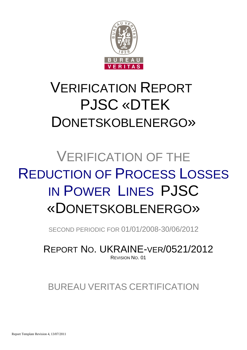

# VERIFICATION REPORT PJSC «DTEK DONETSKOBLENERGO»

# VERIFICATION OF THE REDUCTION OF PROCESS LOSSES IN POWER LINES PJSC «DONETSKOBLENERGO»

SECOND PERIODIC FOR 01/01/2008-30/06/2012

REPORT NO. UKRAINE-VER/0521/2012 REVISION NO. 01

## BUREAU VERITAS CERTIFICATION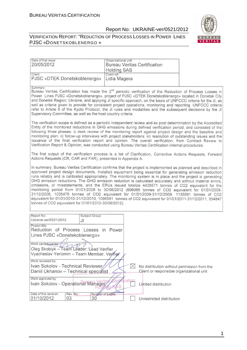#### VERIFICATION REPORT: "REDUCTION OF PROCESS LOSSES IN POWER LINES PJSC «DONETSKOBLENERGO »



| Date of first issue:<br>20/05/2012                                                                                                                                                                                     | Organizational unit:<br><b>Bureau Veritas Certification</b><br><b>Holding SAS</b>                                                                                                                                                                                                                                                                                                                                                                                                                                                                                                                                                                                                                                                                                                                                                                                               |  |
|------------------------------------------------------------------------------------------------------------------------------------------------------------------------------------------------------------------------|---------------------------------------------------------------------------------------------------------------------------------------------------------------------------------------------------------------------------------------------------------------------------------------------------------------------------------------------------------------------------------------------------------------------------------------------------------------------------------------------------------------------------------------------------------------------------------------------------------------------------------------------------------------------------------------------------------------------------------------------------------------------------------------------------------------------------------------------------------------------------------|--|
| Client:<br>PJSC «DTEK Donetskoblenergo»                                                                                                                                                                                | Client ref.:<br>Lidia Magera                                                                                                                                                                                                                                                                                                                                                                                                                                                                                                                                                                                                                                                                                                                                                                                                                                                    |  |
| Summary:<br>Supervisory Committee, as well as the host country criteria.                                                                                                                                               | Bureau Veritas Certification has made the 2 <sup>nd</sup> periodic verification of the Reduction of Process Losses in<br>Power Lines PJSC «Donetskoblenergo», project of PJSC «DTEK Donetskoblenergo» located in Donetsk City<br>and Donetsk Region, Ukraine, and applying JI specific approach, on the basis of UNFCCC criteria for the JI, as<br>well as criteria given to provide for consistent project operations, monitoring and reporting. UNFCCC criteria<br>refer to Article 6 of the Kyoto Protocol, the JI rules and modalities and the subsequent decisions by the JI                                                                                                                                                                                                                                                                                               |  |
|                                                                                                                                                                                                                        | The verification scope is defined as a periodic independent review and ex post determination by the Accredited<br>Entity of the monitored reductions in GHG emissions during defined verification period, and consisted of the<br>following three phases: i) desk review of the monitoring report against project design and the baseline and<br>monitoring plan; ii) follow-up interviews with project stakeholders; iii) resolution of outstanding issues and the<br>issuance of the final verification report and opinion. The overall verification, from Contract Review to<br>Verification Report & Opinion, was conducted using Bureau Veritas Certification internal procedures.                                                                                                                                                                                         |  |
| Actions Requests (CR, CAR and FAR), presented in Appendix A.                                                                                                                                                           | The first output of the verification process is a list of Clarification, Corrective Actions Requests, Forward                                                                                                                                                                                                                                                                                                                                                                                                                                                                                                                                                                                                                                                                                                                                                                   |  |
| tonnes of CO2 equivalent for 01/01/2012-30/06/2012).                                                                                                                                                                   | In summary, Bureau Veritas Certification confirms that the project is implemented as planned and described in<br>approved project design documents. Installed equipment being essential for generating emission reduction<br>runs reliably and is calibrated appropriately. The monitoring system is in place and the project is generating<br>GHG emission reductions. The GHG emission reduction is calculated accurately and without material errors,<br>omissions, or misstatements, and the ERUs issued totalize 4428571 tonnes of CO2 equivalent for the<br>monitoring period from 01/01/2008 to 30/06/2012 (606066 tonnes of CO2 equivalent for 01/01/2008-<br>31/12/2008, 1035476 tonnes of CO2 equivalent for 01/01/2009-31/12/2009, 1135591 tonnes of CO2<br>equivalent for 01/01/2010-31/12/2010, 1096591 tonnes of CO2 equivalent for 01/01/2011-31/12/2011, 554847 |  |
| Report No.:<br>Subject Group:<br>Ukraine-ver/0521/2012<br>JI                                                                                                                                                           |                                                                                                                                                                                                                                                                                                                                                                                                                                                                                                                                                                                                                                                                                                                                                                                                                                                                                 |  |
| Project title:<br>Reduction of Process Losses in Power<br>Lines PJSC «Donetskoblenergo»<br>Work carried out by: (May 2007)<br>Oleg Skoblyk – Team Leader, Lead Verifier<br>Vyacheslav Yeriomin - Team Member, Verifier |                                                                                                                                                                                                                                                                                                                                                                                                                                                                                                                                                                                                                                                                                                                                                                                                                                                                                 |  |
| Work reviewed by:<br>Ivan Sokolov - Technical Reviewer                                                                                                                                                                 | $\boxtimes$                                                                                                                                                                                                                                                                                                                                                                                                                                                                                                                                                                                                                                                                                                                                                                                                                                                                     |  |
| Daniil Ukhanov - Technical specialist                                                                                                                                                                                  | No distribution without permission from the<br>Client or responsible organizational unit                                                                                                                                                                                                                                                                                                                                                                                                                                                                                                                                                                                                                                                                                                                                                                                        |  |
| Work approved by:<br>Ivan Sokolov - Operational Manager                                                                                                                                                                | cation<br>Limited distribution                                                                                                                                                                                                                                                                                                                                                                                                                                                                                                                                                                                                                                                                                                                                                                                                                                                  |  |
| Date of this revision:<br>Rev. No.:<br>Number of pages:<br>01/10/2012<br>03<br>30                                                                                                                                      | Unrestricted distribution                                                                                                                                                                                                                                                                                                                                                                                                                                                                                                                                                                                                                                                                                                                                                                                                                                                       |  |

1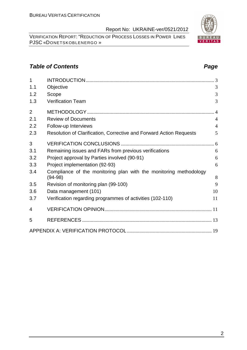VERIFICATION REPORT: "REDUCTION OF PROCESS LOSSES IN POWER LINES PJSC «DONETSKOBLENERGO »

#### **Table of Contents Page 2014**

| 1              |                                                                     |                |
|----------------|---------------------------------------------------------------------|----------------|
| 1.1            | Objective                                                           | 3              |
| 1.2            | Scope                                                               | 3              |
| 1.3            | <b>Verification Team</b>                                            | 3              |
| $\overline{2}$ |                                                                     |                |
| 2.1            | <b>Review of Documents</b>                                          | $\overline{4}$ |
| 2.2            | Follow-up Interviews                                                | $\overline{4}$ |
| 2.3            | Resolution of Clarification, Corrective and Forward Action Requests | 5              |
| 3              |                                                                     |                |
| 3.1            | Remaining issues and FARs from previous verifications               | 6              |
| 3.2            | Project approval by Parties involved (90-91)                        | 6              |
| 3.3            | Project implementation (92-93)                                      | 6              |
| 3.4            | Compliance of the monitoring plan with the monitoring methodology   |                |
|                | $(94-98)$                                                           | 8<br>9         |
| 3.5            | Revision of monitoring plan (99-100)                                |                |
| 3.6            | Data management (101)                                               | 10             |
| 3.7            | Verification regarding programmes of activities (102-110)           | 11             |
| 4              |                                                                     |                |
| 5              |                                                                     |                |
|                |                                                                     |                |

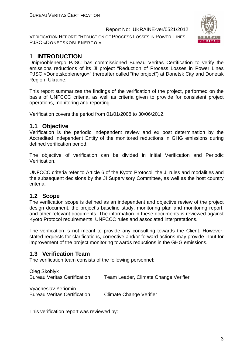VERIFICATION REPORT: "REDUCTION OF PROCESS LOSSES IN POWER LINES PJSC «DONETSKOBLENERGO »



#### **1 INTRODUCTION**

Dniprooblenergo PJSC has commissioned Bureau Veritas Certification to verify the emissions reductions of its JI project "Reduction of Process Losses in Power Lines PJSC «Donetskoblenergo»" (hereafter called "the project") at Donetsk City and Donetsk Region, Ukraine.

This report summarizes the findings of the verification of the project, performed on the basis of UNFCCC criteria, as well as criteria given to provide for consistent project operations, monitoring and reporting.

Verification covers the period from 01/01/2008 to 30/06/2012.

#### **1.1 Objective**

Verification is the periodic independent review and ex post determination by the Accredited Independent Entity of the monitored reductions in GHG emissions during defined verification period.

The objective of verification can be divided in Initial Verification and Periodic Verification.

UNFCCC criteria refer to Article 6 of the Kyoto Protocol, the JI rules and modalities and the subsequent decisions by the JI Supervisory Committee, as well as the host country criteria.

#### **1.2 Scope**

The verification scope is defined as an independent and objective review of the project design document, the project's baseline study, monitoring plan and monitoring report, and other relevant documents. The information in these documents is reviewed against Kyoto Protocol requirements, UNFCCC rules and associated interpretations.

The verification is not meant to provide any consulting towards the Client. However, stated requests for clarifications, corrective and/or forward actions may provide input for improvement of the project monitoring towards reductions in the GHG emissions.

#### **1.3 Verification Team**

The verification team consists of the following personnel:

| Oleg Skoblyk<br><b>Bureau Veritas Certification</b>        | Team Leader, Climate Change Verifier |
|------------------------------------------------------------|--------------------------------------|
| Vyacheslav Yeriomin<br><b>Bureau Veritas Certification</b> | Climate Change Verifier              |

This verification report was reviewed by: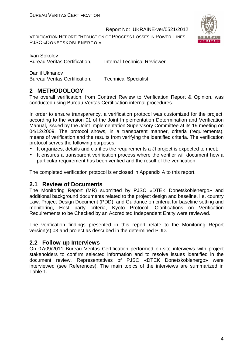VERIFICATION REPORT: "REDUCTION OF PROCESS LOSSES IN POWER LINES PJSC «DONETSKOBLENERGO »



Ivan Sokolov Bureau Veritas Certification. Internal Technical Reviewer

Daniil Ukhanov Bureau Veritas Certification, Technical Specialist

#### **2 METHODOLOGY**

The overall verification, from Contract Review to Verification Report & Opinion, was conducted using Bureau Veritas Certification internal procedures.

In order to ensure transparency, a verification protocol was customized for the project, according to the version 01 of the Joint Implementation Determination and Verification Manual, issued by the Joint Implementation Supervisory Committee at its 19 meeting on 04/12/2009. The protocol shows, in a transparent manner, criteria (requirements), means of verification and the results from verifying the identified criteria. The verification protocol serves the following purposes:

- It organizes, details and clarifies the requirements a JI project is expected to meet;
- It ensures a transparent verification process where the verifier will document how a particular requirement has been verified and the result of the verification.

The completed verification protocol is enclosed in Appendix A to this report.

#### **2.1 Review of Documents**

The Monitoring Report (MR) submitted by PJSC «DTEK Donetskoblenergo» and additional background documents related to the project design and baseline, i.e. country Law, Project Design Document (PDD), and Guidance on criteria for baseline setting and monitoring, Host party criteria, Kyoto Protocol, Clarifications on Verification Requirements to be Checked by an Accredited Independent Entity were reviewed.

The verification findings presented in this report relate to the Monitoring Report version(s) 03 and project as described in the determined PDD.

#### **2.2 Follow-up Interviews**

On 07/09/2011 Bureau Veritas Certification performed on-site interviews with project stakeholders to confirm selected information and to resolve issues identified in the document review. Representatives of PJSC «DTEK Donetskoblenergo» were interviewed (see References). The main topics of the interviews are summarized in Table 1.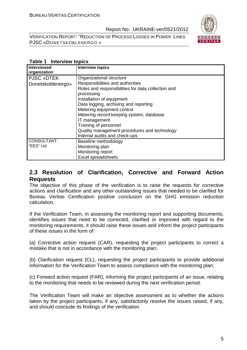VERIFICATION REPORT: "REDUCTION OF PROCESS LOSSES IN POWER LINES PJSC «DONETSKOBLENERGO »



#### **Table 1 Interview topics**

| <b>Interviewed</b> | <b>Interview topics</b>                            |
|--------------------|----------------------------------------------------|
| organization       |                                                    |
| <b>PJSC «DTEK</b>  | Organizational structure                           |
| Donetskoblenergo»  | Responsibilities and authorities                   |
|                    | Roles and responsibilities for data collection and |
|                    | processing                                         |
|                    | Installation of equipment                          |
|                    | Data logging, archiving and reporting              |
|                    | Metering equipment control                         |
|                    | Metering record keeping system, database           |
|                    | IT management                                      |
|                    | Training of personnel                              |
|                    | Quality management procedures and technology       |
|                    | Internal audits and check-ups                      |
| CONSULTANT:        | Baseline methodology                               |
| "EES" Ltd          | Monitoring plan                                    |
|                    | Monitoring report                                  |
|                    | <b>Excel spreadsheets</b>                          |

#### **2.3 Resolution of Clarification, Corrective and Forward Action Requests**

The objective of this phase of the verification is to raise the requests for corrective actions and clarification and any other outstanding issues that needed to be clarified for Bureau Veritas Certification positive conclusion on the GHG emission reduction calculation.

If the Verification Team, in assessing the monitoring report and supporting documents, identifies issues that need to be corrected, clarified or improved with regard to the monitoring requirements, it should raise these issues and inform the project participants of these issues in the form of:

(a) Corrective action request (CAR), requesting the project participants to correct a mistake that is not in accordance with the monitoring plan;

(b) Clarification request (CL), requesting the project participants to provide additional information for the Verification Team to assess compliance with the monitoring plan;

(c) Forward action request (FAR), informing the project participants of an issue, relating to the monitoring that needs to be reviewed during the next verification period.

The Verification Team will make an objective assessment as to whether the actions taken by the project participants, if any, satisfactorily resolve the issues raised, if any, and should conclude its findings of the verification.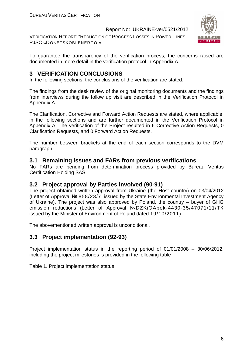VERIFICATION REPORT: "REDUCTION OF PROCESS LOSSES IN POWER LINES PJSC «DONETSKOBLENERGO »



To guarantee the transparency of the verification process, the concerns raised are documented in more detail in the verification protocol in Appendix A.

#### **3 VERIFICATION CONCLUSIONS**

In the following sections, the conclusions of the verification are stated.

The findings from the desk review of the original monitoring documents and the findings from interviews during the follow up visit are described in the Verification Protocol in Appendix A.

The Clarification, Corrective and Forward Action Requests are stated, where applicable, in the following sections and are further documented in the Verification Protocol in Appendix A. The verification of the Project resulted in 6 Corrective Action Requests, 0 Clarification Requests, and 0 Forward Action Requests.

The number between brackets at the end of each section corresponds to the DVM paragraph.

#### **3.1 Remaining issues and FARs from previous verifications**

No FARs are pending from determination process provided by Bureau Veritas Certification Holding SAS

#### **3.2 Project approval by Parties involved (90-91)**

The project obtained written approval from Ukraine (the Host country) on 03/04/2012 (Letter of Approval № 858/23/7, issued by the State Environmental Investment Agency of Ukraine). The project was also approved by Poland, the country – buyer of GHG emission reductions (Letter of Approval №DZKiOApek-4430-35/47071/11/ТК issued by the Minister of Environment of Poland dated 19/10/2011).

The abovementioned written approval is unconditional.

#### **3.3 Project implementation (92-93)**

Project implementation status in the reporting period of 01/01/2008 – 30/06/2012, including the project milestones is provided in the following table

Table 1. Project implementation status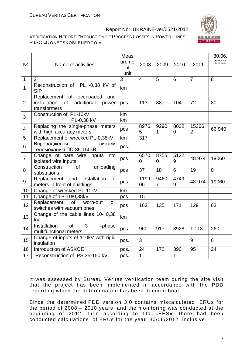

VERIFICATION REPORT: "REDUCTION OF PROCESS LOSSES IN POWER LINES PJSC «DONETSKOBLENERGO »

| Nº             | Name of activities                                                                            | Meas<br>ureme<br>nt<br>unit | 2008           | 2009      | 2010      | 2011                    | 30.06.<br>2012 |
|----------------|-----------------------------------------------------------------------------------------------|-----------------------------|----------------|-----------|-----------|-------------------------|----------------|
| 1              | $\overline{2}$                                                                                | $\overline{3}$              | $\overline{4}$ | 5         | 6         | $\overline{7}$          | 8              |
| 1              | Reconstruction of PL -0,38 kV of<br><b>SIP</b>                                                | km                          |                |           |           |                         |                |
| $\overline{2}$ | Replacement of overloaded<br>and<br>installation<br>of<br>additional<br>power<br>transformers | pcs.                        | 113            | 88        | 104       | 72                      | 80             |
| 3              | Construction of PL-10kV;<br>PL-0,38 kV                                                        | km<br>km                    |                |           |           |                         |                |
| $\overline{4}$ | Replacing the single-phase meters<br>with high accuracy meters                                | pcs                         | 8976<br>5      | 9290<br>1 | 8032<br>0 | 15366<br>$\overline{2}$ | 66 940         |
| 5              | Replacement of wrecked PL-0,38kV                                                              | km                          | 317            |           |           |                         |                |
| 6              | Впровадження<br>систем<br>телемеханикі ПС-35-150кВ                                            | pcs.                        |                |           |           |                         |                |
| $\overline{7}$ | Change of bare wire inputs into<br>isolated wire inputs                                       | pcs                         | 6570<br>0      | 8755<br>0 | 5122<br>9 | 48 974                  | 19060          |
| 8              | Construction<br>of<br>unloading<br>substations                                                | pcs                         | 37             | 18        | 6         | 19                      | $\mathbf 0$    |
| 9              | Replacement and<br>installation<br>of<br>meters in front of buildings                         | pcs                         | 1199<br>06     | 9460<br>7 | 4749<br>9 | 48 974                  | 19060          |
| 10             | Change of wrecked PL-10kV                                                                     | km                          |                |           |           |                         |                |
| 11             | Change of TP-10/0,38kV                                                                        | pcs                         | 15             |           |           |                         |                |
| 12             | Replacement<br>of<br>oil<br>worn-out<br>switches with vacuum ones                             | pcs                         | 163            | 135       | 171       | 129                     | 63             |
| 13             | Change of the cable lines 10- 0,38<br>kV                                                      | km                          |                |           |           |                         |                |
| 14             | <b>Installation</b><br>3<br>of<br>-phase<br>multifunctional meters                            | pcs                         | 960            | 917       | 3928      | 1 1 1 3                 | 260            |
| 15             | Change of inputs of 110kV with rigid<br>insulation                                            | pcs.                        | 3              |           |           | 9                       | 6              |
| 16             | Introduction of ASKOE                                                                         | pcs.                        | 24             | 172       | 390       | 95                      | 24             |
| 17             | Reconstruction of PS 35-150 kV.                                                               | pcs.                        | 1              |           | 1         |                         |                |

It was assessed by Bureau Veritas verification team during the site visit that the project has been implemented in accordance with the PDD regarding which the determination has been deemed final.

Since the determined PDD version 3.0 contains miscalculated ERUs for the period of 2008 – 2010 years, and the monitoring was conducted at the beginning of 2012, then according to Ltd «ЕЕS» there had been conducted calculations of ERUs for the year 30/06/2012 inclusive.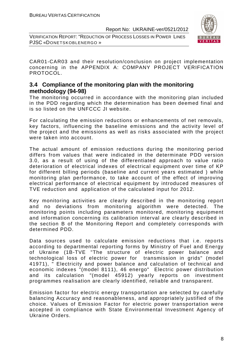VERIFICATION REPORT: "REDUCTION OF PROCESS LOSSES IN POWER LINES PJSC «DONETSKOBLENERGO »



CAR01-CAR03 and their resolution/conclusion on project implementation concerning in the APPENDIX A: COMPANY PROJECT VERIFICATION PROTOCOL.

#### **3.4 Compliance of the monitoring plan with the monitoring methodology (94-98)**

The monitoring occurred in accordance with the monitoring plan included in the PDD regarding which the determination has been deemed final and is so listed on the UNFCCC JI website.

For calculating the emission reductions or enhancements of net removals, key factors, influencing the baseline emissions and the activity level of the project and the emissions as well as risks associated with the project were taken into account.

The actual amount of emission reductions during the monitoring period differs from values that were indicated in the determinate PDD version 3.0, as a result of using of the differentiated approach to value ratio deterioration of electrical indexes of electrical equipment over time of KP for different billing periods (baseline and current years estimated ) while monitoring plan performance, to take account of the effect of improving electrical performance of electrical equipment by introduced measures of TVE reduction and application of the calculated input for 2012.

Key monitoring activities are clearly described in the monitoring report and no deviations from monitoring algorithm were detected. The monitoring points including parameters monitored, monitoring equipment and information concerning its calibration interval are clearly described in the section B of the Monitoring Report and completely corresponds with determined PDD.

Data sources used to calculate emission reductions that i.e. reports according to departmental reporting forms by Ministry of Fuel and Energy of Ukraine (1B-TVE "The structure of electric power balance and technological loss of electric power for transmission in grids" (model 41971), " Electricity and power balance and calculation of technical and economic indexes "(model 8111), 46 energo" Electric power distribution and its calculation "(model 45912) yearly reports on investment programmes realisation are clearly identified, reliable and transparent.

Emission factor for electric energy transportation are selected by carefully balancing Accuracy and reasonableness, and appropriately justified of the choice. Values of Emission Factor for electric power transportation were accepted in compliance with State Environmental Investment Agency of Ukraine Orders.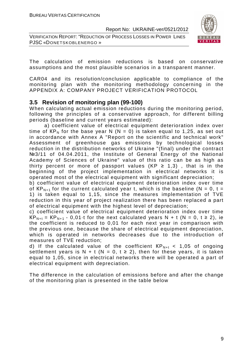VERIFICATION REPORT: "REDUCTION OF PROCESS LOSSES IN POWER LINES PJSC «DONETSKOBLENERGO »



The calculation of emission reductions is based on conservative assumptions and the most plausible scenarios in a transparent manner.

CAR04 and its resolution/conclusion applicable to compliance of the monitoring plan with the monitoring methodology concerning in the APPENDIX A: COMPANY PROJECT VERIFICATION PROTOCOL

#### **3.5 Revision of monitoring plan (99-100)**

When calculating actual emission reductions during the monitoring period, following the principles of a conservative approach, for different billing periods (baseline and current years estimated):

 a) coefficient value of electrical equipment deterioration index over time of  $KP_N$  for the base year N (N = 0) is taken equal to 1,25, as set out in accordance with Annex A "Report on the scientific and technical work" Assessment of greenhouse gas emissions by technological losses reduction in the distribution networks of Ukraine "(final) under the contract №3/11 of 04.04.2011, the Institute of General Energy of the National Academy of Sciences of Ukraine" value of this ratio can be as high as thirty percent or more of passport values (KP  $\geq$  1,3), that is in the beginning of the project implementation in electrical networks it is operated most of the electrical equipment with significant depreciation;

b) coefficient value of electrical equipment deterioration index over time of  $KP_{N+1}$  for the current calculated year t, which is the baseline (N = 0, t = 1) is taken equal to 1,15, since the measures implementation of TVE reduction in this year of project realization there has been replaced a part of electrical equipment with the highest level of depreciation;

c) coefficient value of electrical equipment deterioration index over time  $KP_{N+t} = KP_{N+1} - 0.01$  t for the next calculated years N + t (N = 0, t ≥ 2), ie the coefficient is reduced to 0,01 for each next year in comparison with the previous one, because the share of electrical equipment depreciation, which is operated in networks decreases due to the introduction of measures of TVE reduction;

d) If the calculated value of the coefficient  $\text{KP}_{N+t}$  < 1,05 of ongoing settlement years is N + t (N = 0, t  $\ge$  2), then for these years, it is taken equal to 1,05, since in electrical networks there will be operated a part of electrical equipment with depreciation.

The difference in the calculation of emissions before and after the change of the monitoring plan is presented in the table below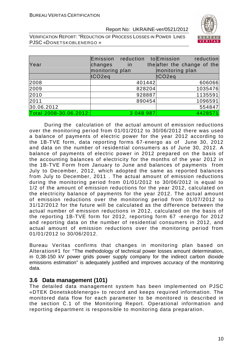VERIFICATION REPORT: "REDUCTION OF PROCESS LOSSES IN POWER LINES PJSC «DONETSKOBLENERGO »

| Year                   | Emission reduction<br>changes<br>monitoring plan | in.       |        | toEmission<br>reduction<br>theafter the change of the<br>monitoring plan |
|------------------------|--------------------------------------------------|-----------|--------|--------------------------------------------------------------------------|
|                        | tCO <sub>2eq</sub>                               |           |        | tCO2eq                                                                   |
| 2008                   |                                                  |           | 401442 | 606066                                                                   |
| 2009                   |                                                  |           | 828204 | 1035476                                                                  |
| 2010                   |                                                  |           | 928887 | 1135591                                                                  |
| 2011                   |                                                  |           | 890454 | 1096591                                                                  |
| 30.06.2012             |                                                  |           |        | 554847                                                                   |
| Total 2008-30.06.2012: |                                                  | 3 048 987 |        | 4428571                                                                  |

During the calculation of the actual amount of emission reductions over the monitoring period from 01/01/2012 to 30/06/2012 there was used a balance of payments of electric power for the year 2012 according to the 1B-TVE form, data reporting forms 67-energo as of June 30, 2012 and data on the number of residential consumers as of June 30, 2012. A balance of payments of electric power in 2012 prepared on the basis of the accounting balances of electricity for the months of the year 2012 in the 1B-TVE Form from January to June and balances of payments from July to December, 2012, which adopted the same as reported balances from July to December, 2011 . The actual amount of emission reductions during the monitoring period from 01/01/2012 to 30/06/2012 is equal to 1/2 of the amount of emission reductions for the year 2012, calculated on the electricity balance of payments for the year 2012. The actual amount of emission reductions over the monitoring period from 01/07/2012 to 31/12/2012 for the future will be calculated as the difference between the actual number of emission reductions in 2012, calculated on the basis of the reporting 1B-TVE form for 2012, reporting form 67 -energo for 2012 and reporting data on the number of residential consumers in 2012, and actual amount of emission reductions over the monitoring period from 01/01/2012 to 30/06/2012.

Bureau Veritas confirms that changes in monitoring plan based on Alteration#1 for "The methodology of technical power losses amount determination, in 0,38-150 kV power grids power supply company for the indirect carbon dioxide emissions estimation" is adequately justified and improves accuracy of the monitoring data.

#### **3.6 Data management (101)**

The detailed data management system has been implemented on PJSC «DTEK Donetskoblenergo» to record and keeps required information. The monitored data flow for each parameter to be monitored is described in the section C.1 of the Monitoring Report. Operational information and reporting department is responsible to monitoring data preparation.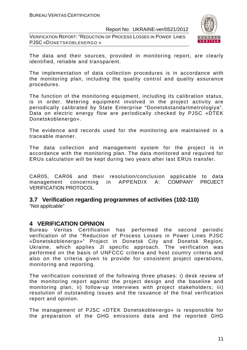VERIFICATION REPORT: "REDUCTION OF PROCESS LOSSES IN POWER LINES PJSC «DONETSKOBLENERGO »



The data and their sources, provided in monitoring report, are clearly identified, reliable and transparent.

The implementation of data collection procedures is in accordance with the monitoring plan, including the quality control and quality assurance procedures.

The function of the monitoring equipment, including its calibration status, is in order. Metering equipment involved in the project activity are periodically calibrated by State Enterprise "Donetskstandartmetrologiya". Data on electric energy flow are periodically checked by PJSC «DTEK Donetskoblenergo».

The evidence and records used for the monitoring are maintained in a traceable manner.

The data collection and management system for the project is in accordance with the monitoring plan. The data monitored and required for ERUs calculation will be kept during two years after last ERUs transfer.

CAR05, CAR06 and their resolution/conclusion applicable to data management concerning in APPENDIX A: COMPANY PROJECT VERIFICATION PROTOCOL

### **3.7 Verification regarding programmes of activities (102-110)**

"Not applicable"

#### **4 VERIFICATION OPINION**

Bureau Veritas Certification has performed the second periodic verification of the "Reduction of Process Losses in Power Lines PJSC «Donetskoblenergo»" Project in Donetsk City and Donetsk Region, Ukraine, which applies JI specific approach. The verification was performed on the basis of UNFCCC criteria and host country criteria and also on the criteria given to provide for consistent project operations, monitoring and reporting.

The verification consisted of the following three phases: i) desk review of the monitoring report against the project design and the baseline and monitoring plan; ii) follow-up interviews with project stakeholders; iii) resolution of outstanding issues and the issuance of the final verification report and opinion.

The management of PJSC «DTEK Donetskoblenergo» is responsible for the preparation of the GHG emissions data and the reported GHG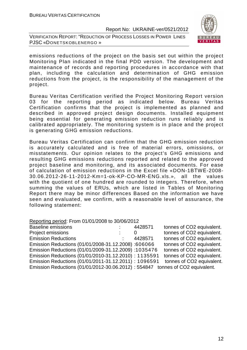VERIFICATION REPORT: "REDUCTION OF PROCESS LOSSES IN POWER LINES PJSC «DONETSKOBLENERGO »



emissions reductions of the project on the basis set out within the project Monitoring Plan indicated in the final PDD version. The development and maintenance of records and reporting procedures in accordance with that plan, including the calculation and determination of GHG emission reductions from the project, is the responsibility of the management of the project.

Bureau Veritas Certification verified the Project Monitoring Report version 03 for the reporting period as indicated below. Bureau Veritas Certification confirms that the project is implemented as planned and described in approved project design documents. Installed equipment being essential for generating emission reduction runs reliably and is calibrated appropriately. The monitoring system is in place and the project is generating GHG emission reductions.

Bureau Veritas Certification can confirm that the GHG emission reduction is accurately calculated and is free of material errors, omissions, or misstatements. Our opinion relates to the project's GHG emissions and resulting GHG emissions reductions reported and related to the approved project baseline and monitoring, and its associated documents. For ease of calculation of emission reductions in the Excel file «DON-1BТWЕ-2008- 30.06.2012-26-11-2012-Km=1-ok-KP-CO-MR-ENG.xls.», all the values with the quotient of one hundred are rounded to integers. Therefore, when summing the values of ERUs, which are listed in Tables of Monitoring Report there may be minor differences Based on the information we have seen and evaluated, we confirm, with a reasonable level of assurance, the following statement:

Reporting period: From 01/01/2008 to 30/06/2012 Baseline emissions **EXACTE 14428571** tonnes of CO2 equivalent. Project emissions  $\cdot$   $\cdot$  0 tonnes of CO2 equivalent. Emission Reductions : 4428571 tonnes of CO2 equivalent. Emission Reductions (01/01/2008-31.12.2008) :606066 tonnes of CO2 equivalent. Emission Reductions (01/01/2009-31.12.2009) :1035476 tonnes of CO2 equivalent. Emission Reductions (01/01/2010-31.12.2010) : 1135591 tonnes of CO2 equivalent. Emission Reductions (01/01/2011-31.12.2011) : 1096591 tonnes of CO2 equivalent. Emission Reductions (01/01/2012-30.06.2012) : 554847 tonnes of CO2 equivalent.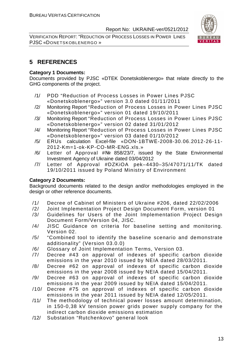VERIFICATION REPORT: "REDUCTION OF PROCESS LOSSES IN POWER LINES PJSC «DONETSKOBLENERGO »



#### **5 REFERENCES**

#### **Category 1 Documents:**

Documents provided by PJSC «DTEK Donetskoblenergo» that relate directly to the GHG components of the project.

- /1/ PDD "Reduction of Process Losses in Power Lines PJSC «Donetskoblenergo»" version 3.0 dated 01/11/2011
- /2/ Monitoring Report "Reduction of Process Losses in Power Lines PJSC «Donetskoblenergo»" version 01 dated 19/10/2011
- /3/ Monitoring Report "Reduction of Process Losses in Power Lines PJSC «Donetskoblenergo»" version 02 dated 31/01/2012
- /4/ Monitoring Report "Reduction of Process Losses in Power Lines PJSC «Donetskoblenergo»" version 03 dated 01/10/2012
- /5/ ERUs calculation Excel-file «DON-1BТWЕ-2008-30.06.2012-26-11- 2012-Km=1-ok-KP-CO-MR-ENG.xls.»
- /6/ Letter of Approval #№ 858/23/7, issued by the State Environmental Investment Agency of Ukraine dated 03/04/2012
- /7/ Letter of Approval #DZKiOA pek–4430–35/47071/11/TK dated 19/10/2011 issued by Poland Ministry of Environment

#### **Category 2 Documents:**

Background documents related to the design and/or methodologies employed in the design or other reference documents.

- /1/ Decree of Cabinet of Ministers of Ukraine #206, dated 22/02/2006
- /2/ Joint Implementation Project Design Document Form, version 01
- /3/ Guidelines for Users of the Joint Implementation Project Design Document Form/Version 04, JISC.
- /4/ JISC Guidance on criteria for baseline setting and monitoring. Version 02.
- /5/ "Combined tool to identify the baseline scenario and demonstrate additionality" (Version 03.0.0)
- /6/ Glossary of Joint Implementation Terms, Version 03.
- /7/ Decree #43 on approval of indexes of specific carbon dioxide emissions in the year 2010 issued by NEIA dated 28/03/2011.
- /8/ Decree #62 on approval of indexes of specific carbon dioxide emissions in the year 2008 issued by NEIA dated 15/04/2011.
- /9/ Decree #63 on approval of indexes of specific carbon dioxide emissions in the year 2009 issued by NEIA dated 15/04/2011.
- /10/ Decree #75 on approval of indexes of specific carbon dioxide emissions in the year 2011 issued by NEIA dated 12/05/2011.
- /11/ The methodology of technical power losses amount determination, in 150-0,38 kV tension power grids power supply company for the indirect carbon dioxide emissions estimation
- /12/ Substation "Rutchenkovo" general look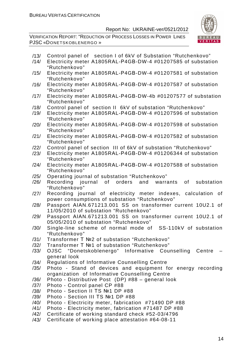

- /13/ Control panel of section I of 6kV of Substation "Rutchenkovo"
- Electricity meter A1805RAL-P4GB-DW-4 #01207585 of substation "Rutchenkovo"
- /15/ Electricity meter А1805RАL-Р4GВ-DW-4 #01207581 of substation "Rutchenkovo"
- /16/ Electricity meter А1805RАL-Р4GВ-DW-4 #01207587 of substation "Rutchenkovo"
- /17/ Electricity meter А1805RАL-Р4GВ-DW-4b #01207577 of substation "Rutchenkovo"
- /18/ Control panel of section II 6kV of substation "Rutchenkovo"
- /19/ Electricity meter А1805RАL-Р4GВ-DW-4 #01207596 of substation "Rutchenkovo"
- /20/ Electricity meter А1805RАL-Р4GВ-DW-4 #01207598 of substation "Rutchenkovo"
- /21/ Electricity meter А1805RАL-Р4GВ-DW-4 #01207582 of substation "Rutchenkovo"
- /22/ Control panel of section III of 6kV of substation "Rutchenkovo"
- /23/ Electricity meter А1805RАL-Р4GВ-DW-4 #01206344 of substation "Rutchenkovo"
- /24/ Electricity meter А1805RАL-Р4GВ-DW-4 #01207588 of substation "Rutchenkovo"
- /25/ Operating journal of substation "Rutchenkovo"
- /26/ Recording journal of orders and warrants of substation "Rutchenkovo"
- /27/ Recording journal of electricity meter indexes, calculation of power consumptions of substation "Rutchenkovo"
- /28/ Passport АІАN.671213.001 SS on transformer current 10U2.1 of 11/05/2010 of substation "Rutchenkovo"
- /29/ Passport АІАN.671213.001 SS on transformer current 10U2.1 of 05/05/2010 of substation "Rutchenkovo"
- /30/ Single-line scheme of normal mode of SS-110kV of substation "Rutchenkovo"
- /31/ Transformer Т №2 of substation "Rutchenkovo"
- /32/ Transformer Т №1 of substation "Rutchenkovo"
- /33/ OJSC "Donetskoblenergo" Informative Counselling Centre general look
- /34/ Regulations of Informative Counselling Centre
- /35/ Photo Stand of devices and equipment for energy recording organization of Informative Counselling Centre
- /36/ Photo Distributive Post (DP) #88 general look
- /37/ Photo Control panel CP #88
- /38/ Photo Section II ТS №1 DP #88
- /39/ Photo Section III ТS №1 DP #88
- /40/ Photo Electricity meter, fabrication #71490 DP #88
- /41/ Photo Electricity meter, fabrication #71487 DP #88
- /42/ Certificate of working standard check #52-03/4796
- /43/ Certificate of working place attestation #64-08-11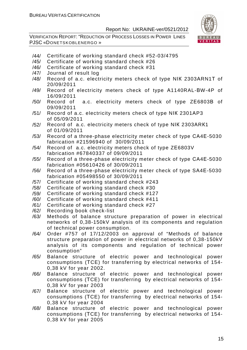

- /44/ Certificate of working standard check #52-03/4795
- /45/ Certificate of working standard check #26
- /46/ Certificate of working standard check #31
- /47/ Journal of result log
- /48/ Record of a.c. electricity meters check of type NІК 2303АRN1Т of 20/09/2011
- /49/ Record of electricity meters check of type А1140RAL-ВW-4P of 16/09/2011
- /50/ Record of a.c. electricity meters check of type ZЕ6803В of 09/09/2011
- /51/ Record of a.c. electricity meters check of type NІК 2301АP3 of 05/09/2011
- /52/ Record of a.c. electricity meters check of type NІК 2303АRК1 of 01/09/2011
- /53/ Record of a three-phase electricity meter check of type СА4Е-5030 fabrication #21596940 of 30/09/2011
- /54/ Record of a.c. electricity meters check of type ZЕ6803V fabrication #67840337 of 09/09/2011
- /55/ Record of a three-phase electricity meter check of type СА4Е-5030 fabrication #05610426 of 30/09/2011
- /56/ Record of a three-phase electricity meter check of type SА4Е-5030 fabrication #05498550 of 30/09/2011
- /57/ Certificate of working standard check #243
- /58/ Certificate of working standard check #30
- /59/ Certificate of working standard check #127
- /60/ Certificate of working standard check #411
- /61/ Certificate of working standard check #27
- /62/ Recording book check-list
- /63/ Methods of balance structure preparation of power in electrical networks of 0,38-150kV analysis of its components and regulation of technical power consumption.
- /64/ Order #757 of 17/12/2003 on approval of "Methods of balance structure preparation of power in electrical networks of 0,38-150kV analysis of its components and regulation of technical power consumption"
- /65/ Balance structure of electric power and technological power consumptions (ТCE) for transferring by electrical networks of 154- 0,38 kV for year 2002.
- /66/ Balance structure of electric power and technological power consumptions (ТCE) for transferring by electrical networks of 154- 0,38 kV for year 2003
- /67/ Balance structure of electric power and technological power consumptions (ТCE) for transferring by electrical networks of 154- 0,38 kV for year 2004
- /68/ Balance structure of electric power and technological power consumptions (ТCE) for transferring by electrical networks of 154- 0,38 kV for year 2005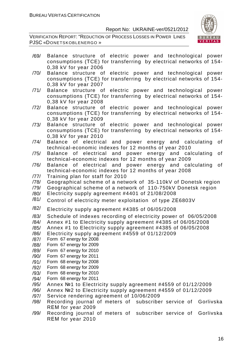

- /69/ Balance structure of electric power and technological power consumptions (ТCE) for transferring by electrical networks of 154- 0,38 kV for year 2006
- /70/ Balance structure of electric power and technological power consumptions (ТCE) for transferring by electrical networks of 154- 0,38 kV for year 2007
- /71/ Balance structure of electric power and technological power consumptions (ТCE) for transferring by electrical networks of 154- 0,38 kV for year 2008
- /72/ Balance structure of electric power and technological power consumptions (ТCE) for transferring by electrical networks of 154- 0,38 kV for year 2009
- /73/ Balance structure of electric power and technological power consumptions (ТCE) for transferring by electrical networks of 154- 0,38 kV for year 2010
- /74/ Balance of electrical and power energy and calculating of technical-economic indexes for 12 months of year 2010
- /75/ Balance of electrical and power energy and calculating of technical-economic indexes for 12 months of year 2009
- /76/ Balance of electrical and power energy and calculating of technical-economic indexes for 12 months of year 2008
- /77/ Training plan for staff for 2010
- /78/ Geographical scheme of a network of 35-110kV of Donetsk region
- /79/ Geographical scheme of a network of 110-750kV Donetsk region
- /80/ Electricity supply agreement #4401 of 21/08/2008
- $/81/$  Control of electricity meter exploitation of type ZE6803V
- /82/ Electricity supply agreement #4385 of 06/05/2008
- /83/ Schedule of indexes recording of electricity power of 06/05/2008
- /84/ Annex #1 to Electricity supply agreement #4385 of 06/05/2008
- /85/ Annex #1 to Electricity supply agreement #4385 of 06/05/2008
- /86/ Electricity supply agreement #4559 of 01/12/2009
- /87/ Form 67 energy for 2008
- /88/ Form 67 energy for 2009
- /89/ Form 67 energy for 2010
- /90/ Form 67 energy for 2011
- /91/ Form 68 energy for 2008
- /92/ Form 68 energy for 2009
- /93/ Form 68 energy for 2010
- /94/ Form 68 energy for 2011
- /95/ Annex №1 to Electricity supply agreement #4559 of 01/12/2009
- /96/ Annex №2 to Electricity supply agreement #4559 of 01/12/2009
- /97/ Service rendering agreement of 10/06/2009
- /98/ Recording journal of meters of subscriber service of Gorlivska RЕМ for year 2009
- /99/ Recording journal of meters of subscriber service of Gorlivska RЕМ for year 2010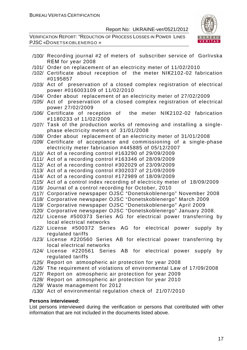VERIFICATION REPORT: "REDUCTION OF PROCESS LOSSES IN POWER LINES PJSC «DONETSKOBLENERGO »



- /100/ Recording journal #2 of meters of subscriber service of Gorlivska RЕМ for year 2008
- /101/ Order on replacement of an electricity meter of 11/02/2010
- /102/ Certificate about reception of the meter NІК2102-02 fabrication #0195857
- /103/ Act of preservation of a closed complex registration of electrical power #016003109 of 11/02/2010
- /104/ Order about replacement of an electricity meter of 27/02/2009
- /105/ Act of preservation of a closed complex registration of electrical power 27/02/2009
- /106/ Certificate of reception of the meter NІК2102-02 fabrication #1180233 of 11/02/2009
- /107/ Task of the production works of removing and installing a singlephase electricity meters of 31/01/2008
- /108/ Order about replacement of an electricity meter of 31/01/2008
- /109/ Certificate of acceptance and commissioning of a single-phase electricity meter fabrication #445885 of 05/12/2007
- /110/ Act of a recording control #163290 of 29/09/2009
- /111/ Act of a recording control #163346 of 28/09/2009
- /112/ Act of a recording control #302029 of 23/09/2009
- /113/ Act of a recording control #302037 of 21/09/2009
- /114/ Act of a recording control #172989 of 18/09/2009
- /115/ Act of a control index recording of electricity meter of 18/09/2009
- /116/ Journal of a control recording for October, 2010
- /117/ Corporative newspaper OJSC "Donetskoblenergo" November 2008
- /118/ Corporative newspaper OJSC "Donetskoblenergo" March 2009
- /119/ Corporative newspaper OJSC "Donetskoblenergo" April 2009
- /120/ Corporative newspaper OJSC "Donetskoblenergo" January 2008.
- /121/ License #500373 Series АG for electrical power transferring by local electrical networks
- /122/ License #500372 Series АG for electrical power supply by regulated tariffs
- /123/ License #220560 Series АB for electrical power transferring by local electrical networks
- /124/ License #220561 Series АB for electrical power supply by regulated tariffs
- /125/ Report on atmospheric air protection for year 2008
- /126/ The requirement of violations of environmental Law of 17/09/2008
- /127/ Report on atmospheric air protection for year 2009
- /128/ Report on atmospheric air protection for year 2010
- /129/ Waste management for 2012
- /130/ Act of environmental regulation check of 21/07/2010

#### **Persons interviewed:**

List persons interviewed during the verification or persons that contributed with other information that are not included in the documents listed above.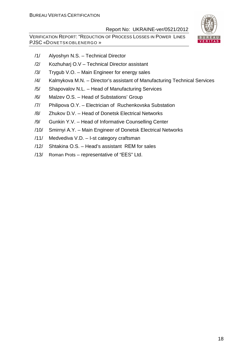

- /1/ Alyoshyn N.S. Technical Director
- /2/ Kozhuharj O.V Technical Director assistant
- /3/ Trygub V.O. Main Engineer for energy sales
- /4/ Kalmykova M.N. Director's assistant of Manufacturing Technical Services
- /5/ Shapovalov N.L. Head of Manufacturing Services
- /6/ Malzev О.S. Head of Substations' Group
- /7/ Philipova О.Y. Electrician of Ruchenkovska Substation
- /8/ Zhukov D.V. Head of Donetsk Electrical Networks
- /9/ Gunkin Y.V. Head of Informative Counselling Center
- /10/ Smirnyi А.Y. Main Engineer of Donetsk Electrical Networks
- /11/ Medvediva V.D. I-st category craftsman
- /12/ Shtakina О.S. Head's assistant RЕМ for sales
- /13/ Roman Prots representative of "ЕЕS" Ltd.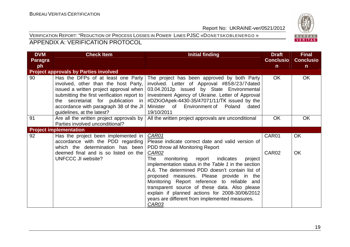#### VERIFICATION REPORT: "REDUCTION OF PROCESS LOSSES IN POWER LINES PJSC «DONETSKOBLENERGO » APPENDIX A: VERIFICATION PROTOCOL



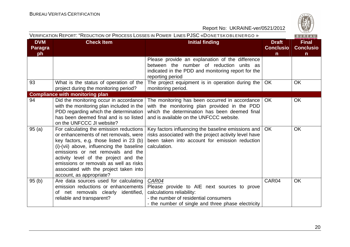

|                                    | VERIFICATION REPORT: "REDUCTION OF PROCESS LOSSES IN POWER LINES PJSC «DONETSKOBLENERGO »<br>BUREAU                                                                                                                                                                                                                                                                     |                                                                                                                                                                                            |                                                  |                                                  |  |
|------------------------------------|-------------------------------------------------------------------------------------------------------------------------------------------------------------------------------------------------------------------------------------------------------------------------------------------------------------------------------------------------------------------------|--------------------------------------------------------------------------------------------------------------------------------------------------------------------------------------------|--------------------------------------------------|--------------------------------------------------|--|
| <b>DVM</b><br><b>Paragra</b><br>ph | <b>Check Item</b>                                                                                                                                                                                                                                                                                                                                                       | <b>Initial finding</b>                                                                                                                                                                     | <b>Draft</b><br><b>Conclusio</b><br>$\mathsf{n}$ | <b>Final</b><br><b>Conclusio</b><br>$\mathsf{n}$ |  |
|                                    |                                                                                                                                                                                                                                                                                                                                                                         | Please provide an explanation of the difference<br>between the number of reduction units as<br>indicated in the PDD and monitoring report for the<br>reporting period                      |                                                  |                                                  |  |
| 93                                 | What is the status of operation of the<br>project during the monitoring period?                                                                                                                                                                                                                                                                                         | The project equipment is in operation during the<br>monitoring period.                                                                                                                     | OK                                               | <b>OK</b>                                        |  |
|                                    | <b>Compliance with monitoring plan</b>                                                                                                                                                                                                                                                                                                                                  |                                                                                                                                                                                            |                                                  |                                                  |  |
| 94                                 | Did the monitoring occur in accordance<br>with the monitoring plan included in the<br>PDD regarding which the determination<br>has been deemed final and is so listed<br>on the UNFCCC JI website?                                                                                                                                                                      | The monitoring has been occurred in accordance<br>with the monitoring plan provided in the PDD<br>which the determination has been deemed final<br>and is available on the UNFCCC website. | <b>OK</b>                                        | <b>OK</b>                                        |  |
| 95(a)                              | For calculating the emission reductions<br>or enhancements of net removals, were<br>key factors, e.g. those listed in 23 (b)<br>(i)-(vii) above, influencing the baseline<br>emissions or net removals and the<br>activity level of the project and the<br>emissions or removals as well as risks<br>associated with the project taken into<br>account, as appropriate? | Key factors influencing the baseline emissions and<br>risks associated with the project activity level have<br>been taken into account for emission reduction<br>calculation.              | <b>OK</b>                                        | <b>OK</b>                                        |  |
| 95(b)                              | Are data sources used for calculating<br>emission reductions or enhancements<br>of net removals clearly identified,<br>reliable and transparent?                                                                                                                                                                                                                        | <b>CAR04</b><br>Please provide to AIE next sources to prove<br>calculations reliability:<br>- the number of residential consumers<br>- the number of single and three phase electricity    | CAR04                                            | <b>OK</b>                                        |  |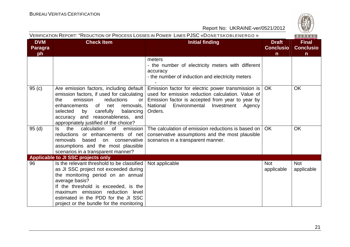|                             | VERIFICATION REPORT: "REDUCTION OF PROCESS LOSSES IN POWER LINES PJSC «DONETSKOBLENERGO »<br>BUREAU                                                                                                                                                                                                        |                                                                                                                                                                                                                             |                                                  |                                                  |  |
|-----------------------------|------------------------------------------------------------------------------------------------------------------------------------------------------------------------------------------------------------------------------------------------------------------------------------------------------------|-----------------------------------------------------------------------------------------------------------------------------------------------------------------------------------------------------------------------------|--------------------------------------------------|--------------------------------------------------|--|
| <b>DVM</b><br>Paragra<br>ph | <b>Check Item</b>                                                                                                                                                                                                                                                                                          | <b>Initial finding</b>                                                                                                                                                                                                      | <b>Draft</b><br><b>Conclusio</b><br>$\mathsf{n}$ | <b>Final</b><br><b>Conclusio</b><br>$\mathsf{n}$ |  |
|                             |                                                                                                                                                                                                                                                                                                            | meters<br>- the number of electricity meters with different<br>accuracy<br>- the number of induction and electricity meters                                                                                                 |                                                  |                                                  |  |
| 95(c)                       | Are emission factors, including default<br>emission factors, if used for calculating<br>emission<br>reductions<br>the<br>or<br>enhancements<br>of net<br>removals,<br>carefully<br>balancing<br>selected<br>by<br>and reasonableness, and<br>accuracy<br>appropriately justified of the choice?            | Emission factor for electric power transmission is<br>used for emission reduction calculation. Value of<br>Emission factor is accepted from year to year by<br>National<br>Environmental<br>Investment<br>Agency<br>Orders. | <b>OK</b>                                        | <b>OK</b>                                        |  |
| 95(d)                       | the<br>calculation<br><b>of</b><br>emission<br>ls.<br>reductions or enhancements of net<br>removals<br>based<br>conservative<br>on<br>assumptions and the most plausible<br>scenarios in a transparent manner?                                                                                             | The calculation of emission reductions is based on<br>conservative assumptions and the most plausible<br>scenarios in a transparent manner.                                                                                 | <b>OK</b>                                        | <b>OK</b>                                        |  |
|                             | <b>Applicable to JI SSC projects only</b>                                                                                                                                                                                                                                                                  |                                                                                                                                                                                                                             |                                                  |                                                  |  |
| 96                          | Is the relevant threshold to be classified<br>as JI SSC project not exceeded during<br>the monitoring period on an annual<br>average basis?<br>If the threshold is exceeded, is the<br>maximum emission reduction level<br>estimated in the PDD for the JI SSC<br>project or the bundle for the monitoring | Not applicable                                                                                                                                                                                                              | <b>Not</b><br>applicable                         | <b>Not</b><br>applicable                         |  |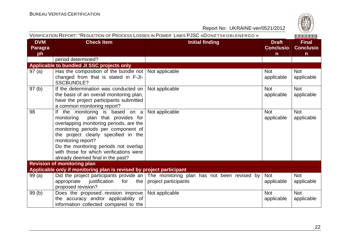

|                                    | VERIFICATION REPORT: "REDUCTION OF PROCESS LOSSES IN POWER LINES PJSC «DONETSKOBLENERGO »<br>BUREAU |                                                                                       |                                                  |                                                  |  |
|------------------------------------|-----------------------------------------------------------------------------------------------------|---------------------------------------------------------------------------------------|--------------------------------------------------|--------------------------------------------------|--|
| <b>DVM</b><br><b>Paragra</b><br>ph | <b>Check Item</b>                                                                                   | <b>Initial finding</b>                                                                | <b>Draft</b><br><b>Conclusio</b><br>$\mathsf{n}$ | <b>Final</b><br><b>Conclusio</b><br>$\mathsf{n}$ |  |
|                                    | period determined?                                                                                  |                                                                                       |                                                  |                                                  |  |
|                                    | Applicable to bundled JI SSC projects only                                                          |                                                                                       |                                                  |                                                  |  |
| 97(a)                              | Has the composition of the bundle not Not applicable                                                |                                                                                       | <b>Not</b>                                       | <b>Not</b>                                       |  |
|                                    | changed from that is stated in F-JI-<br><b>SSCBUNDLE?</b>                                           |                                                                                       | applicable                                       | applicable                                       |  |
| 97(b)                              | If the determination was conducted on                                                               | Not applicable                                                                        | <b>Not</b>                                       | <b>Not</b>                                       |  |
|                                    | the basis of an overall monitoring plan,                                                            |                                                                                       | applicable                                       | applicable                                       |  |
|                                    | have the project participants submitted                                                             |                                                                                       |                                                  |                                                  |  |
|                                    | a common monitoring report?                                                                         |                                                                                       |                                                  |                                                  |  |
| 98                                 | If the monitoring is based on $a \mid Not$ applicable<br>monitoring<br>plan that provides for       |                                                                                       | <b>Not</b>                                       | <b>Not</b>                                       |  |
|                                    | overlapping monitoring periods, are the                                                             |                                                                                       | applicable                                       | applicable                                       |  |
|                                    | monitoring periods per component of                                                                 |                                                                                       |                                                  |                                                  |  |
|                                    | the project clearly specified in the                                                                |                                                                                       |                                                  |                                                  |  |
|                                    | monitoring report?                                                                                  |                                                                                       |                                                  |                                                  |  |
|                                    | Do the monitoring periods not overlap                                                               |                                                                                       |                                                  |                                                  |  |
|                                    | with those for which verifications were                                                             |                                                                                       |                                                  |                                                  |  |
|                                    | already deemed final in the past?                                                                   |                                                                                       |                                                  |                                                  |  |
|                                    | <b>Revision of monitoring plan</b>                                                                  |                                                                                       |                                                  |                                                  |  |
|                                    | Applicable only if monitoring plan is revised by project participant                                |                                                                                       |                                                  |                                                  |  |
| 99(a)                              |                                                                                                     | Did the project participants provide an   The monitoring plan has not been revised by | <b>Not</b>                                       | <b>Not</b>                                       |  |
|                                    | the<br>appropriate<br>justification<br>for                                                          | project participants                                                                  | applicable                                       | applicable                                       |  |
|                                    | proposed revision?                                                                                  |                                                                                       |                                                  |                                                  |  |
| 99(b)                              | Does the proposed revision improve Not applicable                                                   |                                                                                       | <b>Not</b>                                       | <b>Not</b>                                       |  |
|                                    | the accuracy and/or applicability of<br>information collected compared to the                       |                                                                                       | applicable                                       | applicable                                       |  |
|                                    |                                                                                                     |                                                                                       |                                                  |                                                  |  |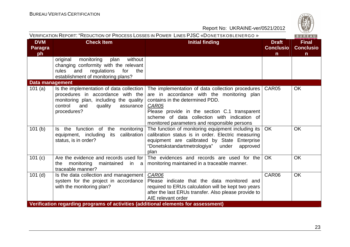

|                                    | VERIFICATION REPORT: "REDUCTION OF PROCESS LOSSES IN POWER LINES PJSC «DONETSKOBLENERGO »<br>BUREAU                                                                                |                                                                                                                                                                                                                                                                                                     |                                                  |                                                  |  |  |
|------------------------------------|------------------------------------------------------------------------------------------------------------------------------------------------------------------------------------|-----------------------------------------------------------------------------------------------------------------------------------------------------------------------------------------------------------------------------------------------------------------------------------------------------|--------------------------------------------------|--------------------------------------------------|--|--|
| <b>DVM</b><br><b>Paragra</b><br>ph | <b>Check Item</b>                                                                                                                                                                  | <b>Initial finding</b>                                                                                                                                                                                                                                                                              | <b>Draft</b><br><b>Conclusio</b><br>$\mathsf{n}$ | <b>Final</b><br><b>Conclusio</b><br>$\mathsf{n}$ |  |  |
|                                    | without<br>monitoring<br>plan<br>original<br>changing conformity with the relevant<br>regulations<br>for<br>the<br>rules<br>and<br>establishment of monitoring plans?              |                                                                                                                                                                                                                                                                                                     |                                                  |                                                  |  |  |
| <b>Data management</b>             |                                                                                                                                                                                    |                                                                                                                                                                                                                                                                                                     |                                                  |                                                  |  |  |
| 101 $(a)$                          | Is the implementation of data collection  <br>procedures in accordance with the<br>monitoring plan, including the quality<br>control<br>and<br>quality<br>assurance<br>procedures? | The implementation of data collection procedures   CAR05<br>are in accordance with the monitoring plan<br>contains in the determined PDD.<br>CAR05<br>Please provide in the section C.1 transparent<br>scheme of data collection with indication of<br>monitored parameters and responsible persons |                                                  | <b>OK</b>                                        |  |  |
| 101(b)                             | Is the function of the<br>monitoring<br>its calibration<br>equipment, including<br>status, is in order?                                                                            | The function of monitoring equipment including its<br>calibration status is in order. Electric measuring<br>equipment are calibrated by State Enterprise<br>"Donetskstandartmetrologiya" under<br>approved<br>plan                                                                                  | <b>OK</b>                                        | <b>OK</b>                                        |  |  |
| 101 (c)                            | Are the evidence and records used for<br>monitoring<br>the<br>maintained<br>in a<br>traceable manner?                                                                              | The evidences and records are used for the<br>monitoring maintained in a traceable manner.                                                                                                                                                                                                          | <b>OK</b>                                        | <b>OK</b>                                        |  |  |
| $101$ (d)                          | Is the data collection and management<br>system for the project in accordance<br>with the monitoring plan?                                                                         | CAR06<br>Please indicate that the data monitored and<br>required to ERUs calculation will be kept two years<br>after the last ERUs transfer. Also please provide to<br>AIE relevant order                                                                                                           | CAR06                                            | <b>OK</b>                                        |  |  |
|                                    | Verification regarding programs of activities (additional elements for assessment)                                                                                                 |                                                                                                                                                                                                                                                                                                     |                                                  |                                                  |  |  |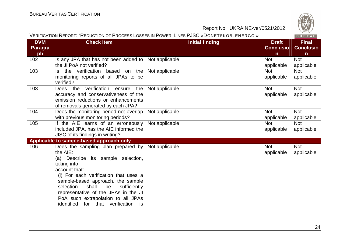

| VERIFICATION REPORT: "REDUCTION OF PROCESS LOSSES IN POWER LINES PJSC «DONETSKOBLENERGO» |  |  |
|------------------------------------------------------------------------------------------|--|--|
|                                                                                          |  |  |

| <b>DVM</b>     | <b>Check Item</b>                        | <b>Initial finding</b> | <b>Draft</b>     | <b>Final</b>     |
|----------------|------------------------------------------|------------------------|------------------|------------------|
| <b>Paragra</b> |                                          |                        | <b>Conclusio</b> | <b>Conclusio</b> |
| ph             |                                          |                        | n                | $\mathsf{n}$     |
| 102            | Is any JPA that has not been added to    | Not applicable         | <b>Not</b>       | <b>Not</b>       |
|                | the JI PoA not verified?                 |                        | applicable       | applicable       |
| 103            | Is the verification based on the         | Not applicable         | <b>Not</b>       | <b>Not</b>       |
|                | monitoring reports of all JPAs to be     |                        | applicable       | applicable       |
|                | verified?                                |                        |                  |                  |
| 103            | Does the verification ensure<br>the      | Not applicable         | <b>Not</b>       | <b>Not</b>       |
|                | accuracy and conservativeness of the     |                        | applicable       | applicable       |
|                | emission reductions or enhancements      |                        |                  |                  |
|                | of removals generated by each JPA?       |                        |                  |                  |
| 104            | Does the monitoring period not overlap   | Not applicable         | <b>Not</b>       | <b>Not</b>       |
|                | with previous monitoring periods?        |                        | applicable       | applicable       |
| 105            | If the AIE learns of an erroneously      | Not applicable         | <b>Not</b>       | <b>Not</b>       |
|                | included JPA, has the AIE informed the   |                        | applicable       | applicable       |
|                | JISC of its findings in writing?         |                        |                  |                  |
|                | Applicable to sample-based approach only |                        |                  |                  |
| 106            | Does the sampling plan prepared by       | Not applicable         | <b>Not</b>       | Not              |
|                | the AIE:                                 |                        | applicable       | applicable       |
|                | (a) Describe its sample selection,       |                        |                  |                  |
|                | taking into                              |                        |                  |                  |
|                | account that:                            |                        |                  |                  |
|                | (i) For each verification that uses a    |                        |                  |                  |
|                | sample-based approach, the sample        |                        |                  |                  |
|                | shall<br>be<br>sufficiently<br>selection |                        |                  |                  |
|                | representative of the JPAs in the JI     |                        |                  |                  |
|                | PoA such extrapolation to all JPAs       |                        |                  |                  |
|                | identified for that verification is      |                        |                  |                  |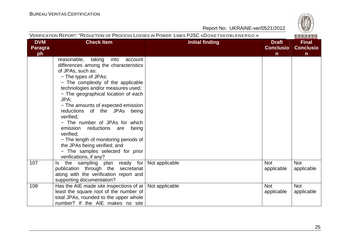

|  | VERIFICATION REPORT: "REDUCTION OF PROCESS LOSSES IN POWER LINES PJSC «DONETSKOBLENERGO» |
|--|------------------------------------------------------------------------------------------|
|  |                                                                                          |

| <b>DVM</b><br><b>Paragra</b><br>ph | <b>Check Item</b>                                                                                                                                                                                                                                                                                                                                                                                                                                                                                                                                                   | <b>Initial finding</b> | <b>Draft</b><br><b>Conclusio</b><br>$\mathsf{n}$ | <b>Final</b><br><b>Conclusio</b><br>$\mathsf{n}$ |
|------------------------------------|---------------------------------------------------------------------------------------------------------------------------------------------------------------------------------------------------------------------------------------------------------------------------------------------------------------------------------------------------------------------------------------------------------------------------------------------------------------------------------------------------------------------------------------------------------------------|------------------------|--------------------------------------------------|--------------------------------------------------|
|                                    | reasonable, taking<br>into<br>account<br>differences among the characteristics<br>of JPAs, such as:<br>- The types of JPAs;<br>- The complexity of the applicable<br>technologies and/or measures used;<br>- The geographical location of each<br>JPA;<br>- The amounts of expected emission<br>reductions of the JPAs being<br>verified;<br>- The number of JPAs for which<br>emission reductions are<br>being<br>verified:<br>- The length of monitoring periods of<br>the JPAs being verified; and<br>- The samples selected for prior<br>verifications, if any? |                        |                                                  |                                                  |
| 107                                | Is the sampling plan ready for<br>publication through the secretariat<br>along with the verification report and<br>supporting documentation?                                                                                                                                                                                                                                                                                                                                                                                                                        | Not applicable         | <b>Not</b><br>applicable                         | <b>Not</b><br>applicable                         |
| 108                                | Has the AIE made site inspections of at   Not applicable<br>least the square root of the number of<br>total JPAs, rounded to the upper whole<br>number? If the AIE makes no site                                                                                                                                                                                                                                                                                                                                                                                    |                        | <b>Not</b><br>applicable                         | <b>Not</b><br>applicable                         |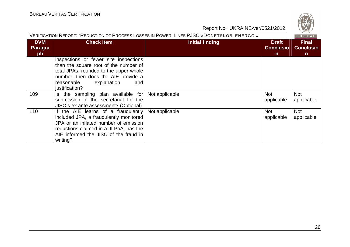

| VERIFICATION REPORT: "REDUCTION OF PROCESS LOSSES IN POWER LINES PJSC «DONETSKOBLENERGO »<br>BUREAU |                                                                                                                                                                                                                        |                 |                                                  |                                                  |
|-----------------------------------------------------------------------------------------------------|------------------------------------------------------------------------------------------------------------------------------------------------------------------------------------------------------------------------|-----------------|--------------------------------------------------|--------------------------------------------------|
| <b>DVM</b><br><b>Paragra</b><br>ph                                                                  | <b>Check Item</b>                                                                                                                                                                                                      | Initial finding | <b>Draft</b><br><b>Conclusio</b><br>$\mathsf{n}$ | <b>Final</b><br><b>Conclusio</b><br>$\mathsf{n}$ |
|                                                                                                     | inspections or fewer site inspections<br>than the square root of the number of<br>total JPAs, rounded to the upper whole<br>number, then does the AIE provide a<br>reasonable<br>explanation<br>and<br>justification?  |                 |                                                  |                                                  |
| 109                                                                                                 | Is the sampling plan available for<br>submission to the secretariat for the<br>JISC.s ex ante assessment? (Optional)                                                                                                   | Not applicable  | <b>Not</b><br>applicable                         | <b>Not</b><br>applicable                         |
| 110                                                                                                 | If the AIE learns of a fraudulently<br>included JPA, a fraudulently monitored<br>JPA or an inflated number of emission<br>reductions claimed in a JI PoA, has the<br>AIE informed the JISC of the fraud in<br>writing? | Not applicable  | <b>Not</b><br>applicable                         | <b>Not</b><br>applicable                         |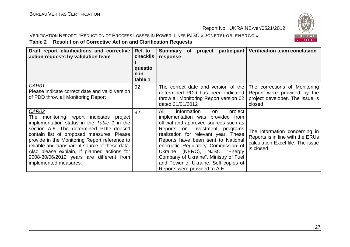### VERIFICATION REPORT: "REDUCTION OF PROCESS LOSSES IN POWER LINES PJSC «DONETSKOBLENERGO »



#### **Table 2 Resolution of Corrective Action and Clarification Requests**

| Draft report clarifications and corrective<br>action requests by validation team                                                                                                                                                                                                                                                                                                                                         | Ref. to<br>checklis<br>questio<br>$n$ in<br>table 1 | Summary of project participant   Verification team conclusion<br>response                                                                                                                                                                                                                                                                                                                                                |                                                                                                                      |
|--------------------------------------------------------------------------------------------------------------------------------------------------------------------------------------------------------------------------------------------------------------------------------------------------------------------------------------------------------------------------------------------------------------------------|-----------------------------------------------------|--------------------------------------------------------------------------------------------------------------------------------------------------------------------------------------------------------------------------------------------------------------------------------------------------------------------------------------------------------------------------------------------------------------------------|----------------------------------------------------------------------------------------------------------------------|
| CAR01<br>Please indicate correct date and valid version<br>of PDD throw all Monitoring Report                                                                                                                                                                                                                                                                                                                            | 92                                                  | The correct date and version of the $\Gamma$ The corrections of Monitoring<br>determined PDD has been indicated<br>throw all Monitoring Report version 02<br>dated 31/01/2012                                                                                                                                                                                                                                            | Report were provided by the<br>project developer. The issue is<br>closed                                             |
| <b>CAR02</b><br>monitoring report indicates project<br>The<br>implementation status in the Table 1 in the<br>section A.6. The determined PDD doesn't<br>contain list of proposed measures. Please<br>provide in the Monitoring Report reference to<br>reliable and transparent source of these data.<br>Also please explain, if planned actions for<br>2008-30/06/2012 years are different from<br>implemented measures. | 92                                                  | All<br>information<br>project<br>on<br>implementation was provided from<br>official and approved sources such as<br>Reports on investment programs<br>realization for relevant year. These<br>Reports have been sent to National<br>energetic Regulatory Commission of<br>Ukraine (NERC), NJSC "Energy<br>Company of Ukraine", Ministry of Fuel<br>and Power of Ukraine. Soft copies of<br>Reports were provided to AIE. | The information concerning in<br>Reports is in line with the ERUs<br>calculation Excel file. The issue<br>is closed. |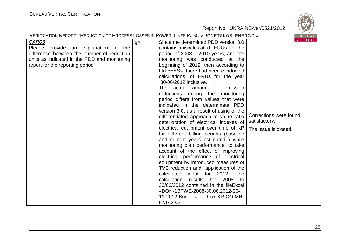| $\vee$ 829/<br>VERIFICATION REPORT: "REDUCTION OF PROCESS LOSSES IN POWER LINES PJSC «DONETSKOBLENERGO »<br>BUREAU                                                                    |                                                                                                                                                                                                                                                                                                                                                                                                                                                                                                                                                                                                                                                                                                                                                                                                                                                                                                                                                                                                                                                                                                                                                                               |                                          |  |  |
|---------------------------------------------------------------------------------------------------------------------------------------------------------------------------------------|-------------------------------------------------------------------------------------------------------------------------------------------------------------------------------------------------------------------------------------------------------------------------------------------------------------------------------------------------------------------------------------------------------------------------------------------------------------------------------------------------------------------------------------------------------------------------------------------------------------------------------------------------------------------------------------------------------------------------------------------------------------------------------------------------------------------------------------------------------------------------------------------------------------------------------------------------------------------------------------------------------------------------------------------------------------------------------------------------------------------------------------------------------------------------------|------------------------------------------|--|--|
| <b>CAR03</b><br>Please provide an explanation of the<br>difference between the number of reduction<br>units as indicated in the PDD and monitoring<br>report for the reporting period | Since the determined PDD version 3.0<br>92<br>contains miscalculated ERUs for the<br>period of $2008 - 2010$ years, and the<br>monitoring was conducted at the<br>beginning of 2012, then according to<br>Ltd «EES» there had been conducted<br>calculations of ERUs for the year<br>30/06/2012 inclusive.<br>The actual amount of emission<br>reductions during the monitoring<br>period differs from values that were<br>indicated in the determinate PDD<br>version 3.0, as a result of using of the<br>differentiated approach to value ratio<br>satisfactory.<br>deterioration of electrical indexes of<br>electrical equipment over time of KP<br>The issue is closed.<br>for different billing periods (baseline<br>and current years estimated) while<br>monitoring plan performance, to take<br>account of the effect of improving<br>electrical performance of electrical<br>equipment by introduced measures of<br>TVE reduction and application of the<br>calculated input for 2012.<br>The<br>calculation results for 2008 to<br>30/06/2012 contained in the fileExcel<br>«DON-1BTWE-2008-30.06.2012-26-<br>11-2012-Km<br>1-ok-KP-CO-MR-<br>$\equiv$<br>ENG.xls» | <b>VERITAS</b><br>Corrections were found |  |  |